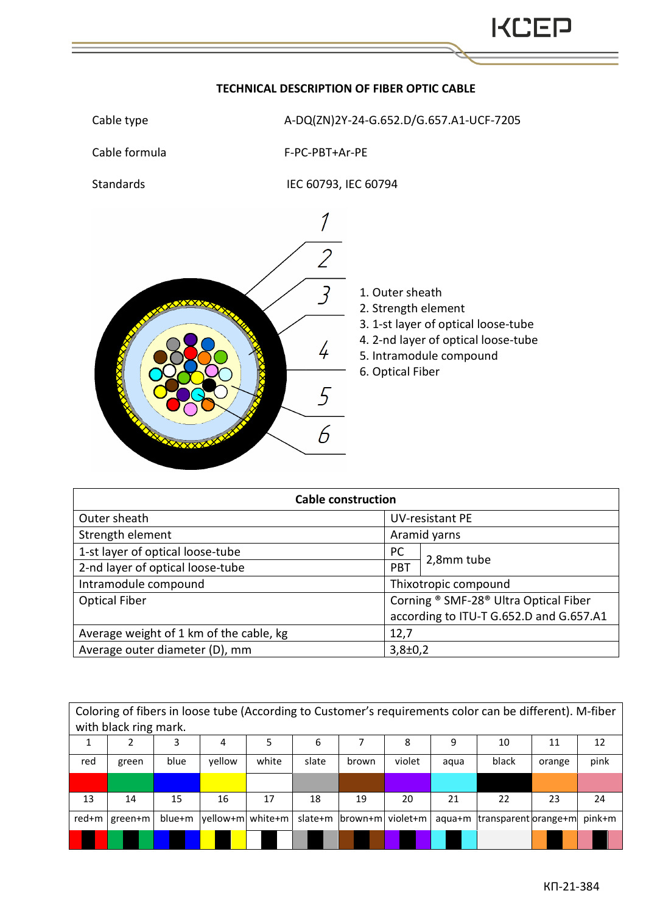

## **TECHNICAL DESCRIPTION OF FIBER OPTIC CABLE**

| <b>Cable construction</b>               |                                       |                                         |  |  |  |  |  |
|-----------------------------------------|---------------------------------------|-----------------------------------------|--|--|--|--|--|
| Outer sheath                            | <b>UV-resistant PE</b>                |                                         |  |  |  |  |  |
| Strength element                        | Aramid yarns                          |                                         |  |  |  |  |  |
| 1-st layer of optical loose-tube        | <b>PC</b>                             |                                         |  |  |  |  |  |
| 2-nd layer of optical loose-tube        | PBT                                   | 2,8mm tube                              |  |  |  |  |  |
| Intramodule compound                    |                                       | Thixotropic compound                    |  |  |  |  |  |
| <b>Optical Fiber</b>                    | Corning ® SMF-28® Ultra Optical Fiber |                                         |  |  |  |  |  |
|                                         |                                       | according to ITU-T G.652.D and G.657.A1 |  |  |  |  |  |
| Average weight of 1 km of the cable, kg | 12,7                                  |                                         |  |  |  |  |  |
| Average outer diameter (D), mm          | $3,8 \pm 0,2$                         |                                         |  |  |  |  |  |

| Coloring of fibers in loose tube (According to Customer's requirements color can be different). M-fiber |         |        |                   |       |         |         |          |      |                              |        |        |
|---------------------------------------------------------------------------------------------------------|---------|--------|-------------------|-------|---------|---------|----------|------|------------------------------|--------|--------|
| with black ring mark.                                                                                   |         |        |                   |       |         |         |          |      |                              |        |        |
|                                                                                                         |         | 3      | 4                 |       | 6       |         | 8        | q    | 10                           | 11     | 12     |
| red                                                                                                     | green   | blue   | vellow            | white | slate   | brown   | violet   | agua | black                        | orange | pink   |
|                                                                                                         |         |        |                   |       |         |         |          |      |                              |        |        |
| 13                                                                                                      | 14      | 15     | 16                | 17    | 18      | 19      | 20       | 21   | 22                           | 23     | 24     |
| red+m                                                                                                   | green+m | blue+m | vellow+ml white+m |       | slate+m | brown+m | violet+m |      | aqua+m  transparent orange+m |        | pink+m |
|                                                                                                         |         |        |                   |       |         |         |          |      |                              |        |        |